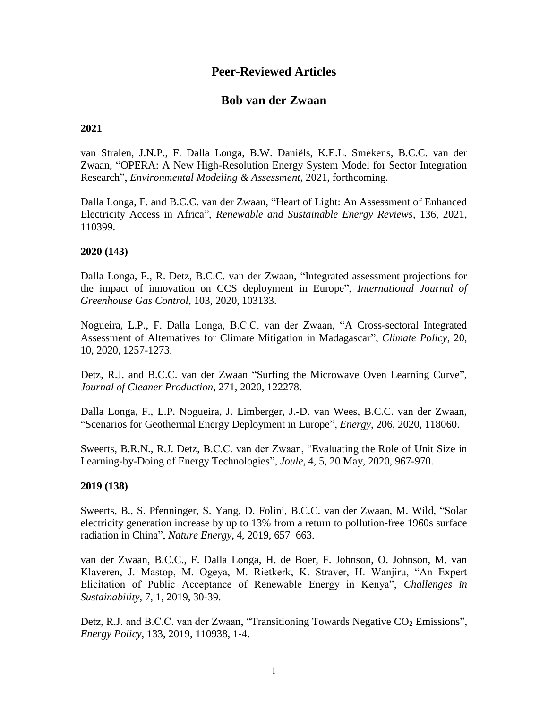# **Peer-Reviewed Articles**

## **Bob van der Zwaan**

#### **2021**

van Stralen, J.N.P., F. Dalla Longa, B.W. Daniëls, K.E.L. Smekens, B.C.C. van der Zwaan, "OPERA: A New High-Resolution Energy System Model for Sector Integration Research", *Environmental Modeling & Assessment*, 2021, forthcoming.

Dalla Longa, F. and B.C.C. van der Zwaan, "Heart of Light: An Assessment of Enhanced Electricity Access in Africa", *Renewable and Sustainable Energy Reviews*, 136, 2021, 110399.

#### **2020 (143)**

Dalla Longa, F., R. Detz, B.C.C. van der Zwaan, "Integrated assessment projections for the impact of innovation on CCS deployment in Europe", *International Journal of Greenhouse Gas Control*, 103, 2020, 103133.

Nogueira, L.P., F. Dalla Longa, B.C.C. van der Zwaan, "A Cross-sectoral Integrated Assessment of Alternatives for Climate Mitigation in Madagascar", *Climate Policy*, 20, 10, 2020, 1257-1273.

Detz, R.J. and B.C.C. van der Zwaan "Surfing the Microwave Oven Learning Curve", *Journal of Cleaner Production*, 271, 2020, 122278.

Dalla Longa, F., L.P. Nogueira, J. Limberger, J.-D. van Wees, B.C.C. van der Zwaan, "Scenarios for Geothermal Energy Deployment in Europe", *Energy*, 206, 2020, 118060.

Sweerts, B.R.N., R.J. Detz, B.C.C. van der Zwaan, "Evaluating the Role of Unit Size in Learning-by-Doing of Energy Technologies", *Joule*, 4, 5, 20 May, 2020, 967-970.

#### **2019 (138)**

Sweerts, B., S. Pfenninger, S. Yang, D. Folini, B.C.C. van der Zwaan, M. Wild, "Solar electricity generation increase by up to 13% from a return to pollution-free 1960s surface radiation in China", *Nature Energy*, 4, 2019, 657–663.

van der Zwaan, B.C.C., F. Dalla Longa, H. de Boer, F. Johnson, O. Johnson, M. van Klaveren, J. Mastop, M. Ogeya, M. Rietkerk, K. Straver, H. Wanjiru, "An Expert Elicitation of Public Acceptance of Renewable Energy in Kenya", *Challenges in Sustainability*, 7, 1, 2019, 30-39.

Detz, R.J. and B.C.C. van der Zwaan, "Transitioning Towards Negative CO<sub>2</sub> Emissions", *Energy Policy*, 133, 2019, 110938, 1-4.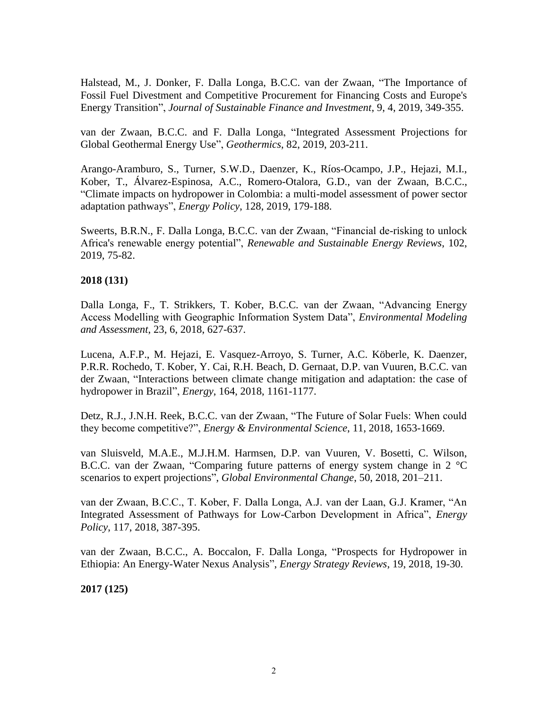Halstead, M., J. Donker, F. Dalla Longa, B.C.C. van der Zwaan, "The Importance of Fossil Fuel Divestment and Competitive Procurement for Financing Costs and Europe's Energy Transition", *Journal of Sustainable Finance and Investment*, 9, 4, 2019, 349-355.

van der Zwaan, B.C.C. and F. Dalla Longa, "Integrated Assessment Projections for Global Geothermal Energy Use", *Geothermics*, 82, 2019, 203-211.

Arango-Aramburo, S., Turner, S.W.D., Daenzer, K., Ríos-Ocampo, J.P., Hejazi, M.I., Kober, T., Álvarez-Espinosa, A.C., Romero-Otalora, G.D., van der Zwaan, B.C.C., "Climate impacts on hydropower in Colombia: a multi-model assessment of power sector adaptation pathways", *Energy Policy*, 128, 2019, 179-188.

Sweerts, B.R.N., F. Dalla Longa, B.C.C. van der Zwaan, "Financial de-risking to unlock Africa's renewable energy potential", *Renewable and Sustainable Energy Reviews*, 102, 2019, 75-82.

## **2018 (131)**

Dalla Longa, F., T. Strikkers, T. Kober, B.C.C. van der Zwaan, "Advancing Energy Access Modelling with Geographic Information System Data", *Environmental Modeling and Assessment*, 23, 6, 2018, 627-637.

Lucena, A.F.P., M. Hejazi, E. Vasquez-Arroyo, S. Turner, A.C. Köberle, K. Daenzer, P.R.R. Rochedo, T. Kober, Y. Cai, R.H. Beach, D. Gernaat, D.P. van Vuuren, B.C.C. van der Zwaan, "Interactions between climate change mitigation and adaptation: the case of hydropower in Brazil", *Energy*, 164, 2018, 1161-1177.

Detz, R.J., J.N.H. Reek, B.C.C. van der Zwaan, "The Future of Solar Fuels: When could they become competitive?", *Energy & Environmental Science*, 11, 2018, 1653-1669.

van Sluisveld, M.A.E., M.J.H.M. Harmsen, D.P. van Vuuren, V. Bosetti, C. Wilson, B.C.C. van der Zwaan, "Comparing future patterns of energy system change in 2 °C scenarios to expert projections", *Global Environmental Change*, 50, 2018, 201–211.

van der Zwaan, B.C.C., T. Kober, F. Dalla Longa, A.J. van der Laan, G.J. Kramer, "An Integrated Assessment of Pathways for Low-Carbon Development in Africa", *Energy Policy*, 117, 2018, 387-395.

van der Zwaan, B.C.C., A. Boccalon, F. Dalla Longa, "Prospects for Hydropower in Ethiopia: An Energy-Water Nexus Analysis", *Energy Strategy Reviews*, 19, 2018, 19-30.

**2017 (125)**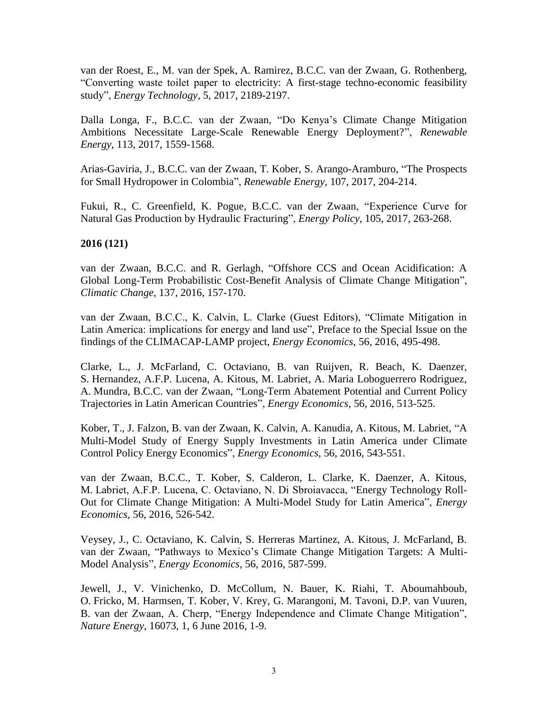van der Roest, E., M. van der Spek, A. Ramirez, B.C.C. van der Zwaan, G. Rothenberg, "Converting waste toilet paper to electricity: A first-stage techno-economic feasibility study", *Energy Technology*, 5, 2017, 2189-2197.

Dalla Longa, F., B.C.C. van der Zwaan, "Do Kenya's Climate Change Mitigation Ambitions Necessitate Large-Scale Renewable Energy Deployment?", *Renewable Energy*, 113, 2017, 1559-1568.

Arias-Gaviria, J., B.C.C. van der Zwaan, T. Kober, S. Arango-Aramburo, "The Prospects for Small Hydropower in Colombia", *Renewable Energy*, 107, 2017, 204-214.

Fukui, R., C. Greenfield, K. Pogue, B.C.C. van der Zwaan, "Experience Curve for Natural Gas Production by Hydraulic Fracturing", *Energy Policy*, 105, 2017, 263-268.

## **2016 (121)**

van der Zwaan, B.C.C. and R. Gerlagh, "Offshore CCS and Ocean Acidification: A Global Long-Term Probabilistic Cost-Benefit Analysis of Climate Change Mitigation", *Climatic Change*, 137, 2016, 157-170.

van der Zwaan, B.C.C., K. Calvin, L. Clarke (Guest Editors), "Climate Mitigation in Latin America: implications for energy and land use", Preface to the Special Issue on the findings of the CLIMACAP-LAMP project, *Energy Economics*, 56, 2016, 495-498.

Clarke, L., J. McFarland, C. Octaviano, B. van Ruijven, R. Beach, K. Daenzer, S. Hernandez, A.F.P. Lucena, A. Kitous, M. Labriet, A. Maria Loboguerrero Rodriguez, A. Mundra, B.C.C. van der Zwaan, "Long-Term Abatement Potential and Current Policy Trajectories in Latin American Countries", *Energy Economics*, 56, 2016, 513-525.

Kober, T., J. Falzon, B. van der Zwaan, K. Calvin, A. Kanudia, A. Kitous, M. Labriet, "A Multi-Model Study of Energy Supply Investments in Latin America under Climate Control Policy Energy Economics", *Energy Economics*, 56, 2016, 543-551.

van der Zwaan, B.C.C., T. Kober, S. Calderon, L. Clarke, K. Daenzer, A. Kitous, M. Labriet, A.F.P. Lucena, C. Octaviano, N. Di Sbroiavacca, "Energy Technology Roll-Out for Climate Change Mitigation: A Multi-Model Study for Latin America", *Energy Economics*, 56, 2016, 526-542.

Veysey, J., C. Octaviano, K. Calvin, S. Herreras Martinez, A. Kitous, J. McFarland, B. van der Zwaan, "Pathways to Mexico's Climate Change Mitigation Targets: A Multi-Model Analysis", *Energy Economics*, 56, 2016, 587-599.

Jewell, J., V. Vinichenko, D. McCollum, N. Bauer, K. Riahi, T. Aboumahboub, O. Fricko, M. Harmsen, T. Kober, V. Krey, G. Marangoni, M. Tavoni, D.P. van Vuuren, B. van der Zwaan, A. Cherp, "Energy Independence and Climate Change Mitigation", *Nature Energy*, 16073, 1, 6 June 2016, 1-9.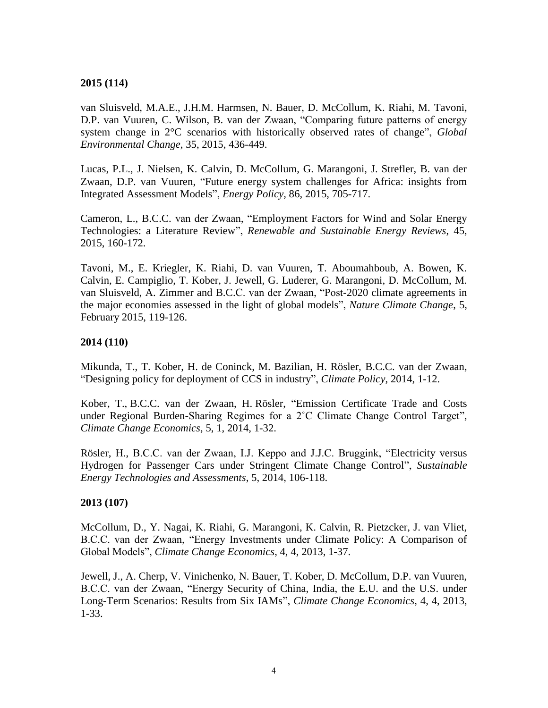## **2015 (114)**

van Sluisveld, M.A.E., J.H.M. Harmsen, N. Bauer, D. McCollum, K. Riahi, M. Tavoni, D.P. van Vuuren, C. Wilson, B. van der Zwaan, "Comparing future patterns of energy system change in 2°C scenarios with historically observed rates of change", *Global Environmental Change*, 35, 2015, 436-449.

Lucas, P.L., J. Nielsen, K. Calvin, D. McCollum, G. Marangoni, J. Strefler, B. van der Zwaan, D.P. van Vuuren, "Future energy system challenges for Africa: insights from Integrated Assessment Models", *Energy Policy*, 86, 2015, 705-717.

Cameron, L., B.C.C. van der Zwaan, "Employment Factors for Wind and Solar Energy Technologies: a Literature Review", *Renewable and Sustainable Energy Reviews*, 45, 2015, 160-172.

Tavoni, M., E. Kriegler, K. Riahi, D. van Vuuren, T. Aboumahboub, A. Bowen, K. Calvin, E. Campiglio, T. Kober, J. Jewell, G. Luderer, G. Marangoni, D. McCollum, M. van Sluisveld, A. Zimmer and B.C.C. van der Zwaan, "Post-2020 climate agreements in the major economies assessed in the light of global models", *Nature Climate Change*, 5, February 2015, 119-126.

### **2014 (110)**

Mikunda, T., T. Kober, H. de Coninck, M. Bazilian, H. Rösler, B.C.C. van der Zwaan, "Designing policy for deployment of CCS in industry", *Climate Policy*, 2014, 1-12.

Kober, T., B.C.C. van der Zwaan, H. Rösler, "Emission Certificate Trade and Costs under Regional Burden-Sharing Regimes for a 2˚C Climate Change Control Target", *Climate Change Economics*, 5, 1, 2014, 1-32.

Rösler, H., B.C.C. van der Zwaan, I.J. Keppo and J.J.C. Bruggink, "Electricity versus Hydrogen for Passenger Cars under Stringent Climate Change Control", *Sustainable Energy Technologies and Assessments*, 5, 2014, 106-118.

### **2013 (107)**

McCollum, D., Y. Nagai, K. Riahi, G. Marangoni, K. Calvin, R. Pietzcker, J. van Vliet, B.C.C. van der Zwaan, "Energy Investments under Climate Policy: A Comparison of Global Models", *Climate Change Economics*, 4, 4, 2013, 1-37.

Jewell, J., A. Cherp, V. Vinichenko, N. Bauer, T. Kober, D. McCollum, D.P. van Vuuren, B.C.C. van der Zwaan, "Energy Security of China, India, the E.U. and the U.S. under Long-Term Scenarios: Results from Six IAMs", *Climate Change Economics*, 4, 4, 2013, 1-33.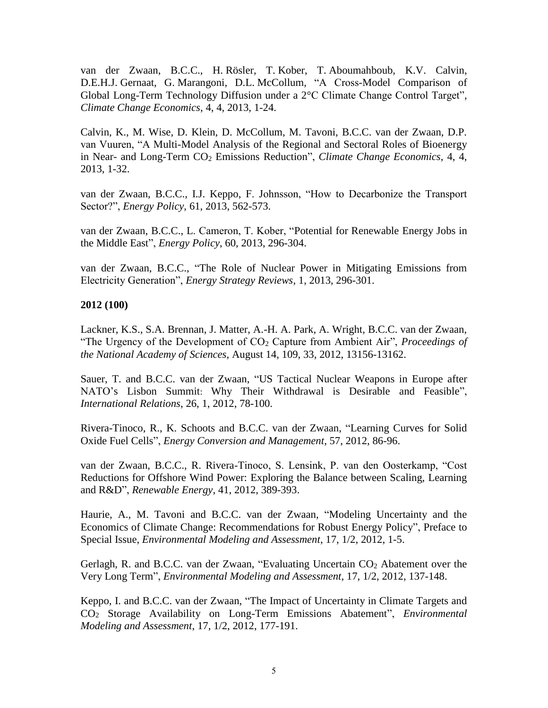van der Zwaan, B.C.C., H. Rösler, T. Kober, T. Aboumahboub, K.V. Calvin, D.E.H.J. Gernaat, G. Marangoni, D.L. McCollum, "A Cross-Model Comparison of Global Long-Term Technology Diffusion under a 2°C Climate Change Control Target", *Climate Change Economics*, 4, 4, 2013, 1-24.

Calvin, K., M. Wise, D. Klein, D. McCollum, M. Tavoni, B.C.C. van der Zwaan, D.P. van Vuuren, "A Multi-Model Analysis of the Regional and Sectoral Roles of Bioenergy in Near- and Long-Term CO<sup>2</sup> Emissions Reduction", *Climate Change Economics*, 4, 4, 2013, 1-32.

van der Zwaan, B.C.C., I.J. Keppo, F. Johnsson, "How to Decarbonize the Transport Sector?", *Energy Policy*, 61, 2013, 562-573.

van der Zwaan, B.C.C., L. Cameron, T. Kober, "Potential for Renewable Energy Jobs in the Middle East", *Energy Policy*, 60, 2013, 296-304.

van der Zwaan, B.C.C., "The Role of Nuclear Power in Mitigating Emissions from Electricity Generation", *Energy Strategy Reviews*, 1, 2013, 296-301.

## **2012 (100)**

Lackner, K.S., S.A. Brennan, J. Matter, A.-H. A. Park, A. Wright, B.C.C. van der Zwaan, "The Urgency of the Development of CO<sup>2</sup> Capture from Ambient Air", *Proceedings of the National Academy of Sciences*, August 14, 109, 33, 2012, 13156-13162.

Sauer, T. and B.C.C. van der Zwaan, "US Tactical Nuclear Weapons in Europe after NATO's Lisbon Summit: Why Their Withdrawal is Desirable and Feasible", *International Relations*, 26, 1, 2012, 78-100.

Rivera-Tinoco, R., K. Schoots and B.C.C. van der Zwaan, "Learning Curves for Solid Oxide Fuel Cells", *Energy Conversion and Management*, 57, 2012, 86-96.

van der Zwaan, B.C.C., R. Rivera-Tinoco, S. Lensink, P. van den Oosterkamp, "Cost Reductions for Offshore Wind Power: Exploring the Balance between Scaling, Learning and R&D", *Renewable Energy*, 41, 2012, 389-393.

Haurie, A., M. Tavoni and B.C.C. van der Zwaan, "Modeling Uncertainty and the Economics of Climate Change: Recommendations for Robust Energy Policy", Preface to Special Issue, *Environmental Modeling and Assessment*, 17, 1/2, 2012, 1-5.

Gerlagh, R. and B.C.C. van der Zwaan, "Evaluating Uncertain CO<sub>2</sub> Abatement over the Very Long Term", *Environmental Modeling and Assessment*, 17, 1/2, 2012, 137-148.

Keppo, I. and B.C.C. van der Zwaan, "The Impact of Uncertainty in Climate Targets and CO<sup>2</sup> Storage Availability on Long-Term Emissions Abatement", *Environmental Modeling and Assessment*, 17, 1/2, 2012, 177-191.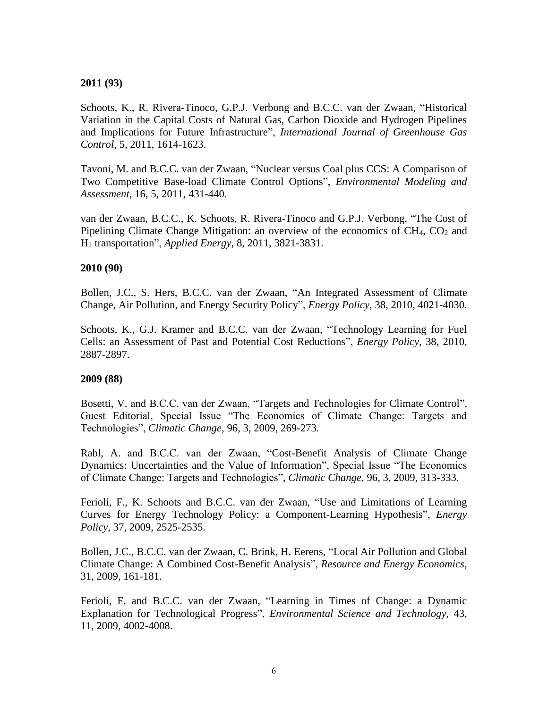### **2011 (93)**

Schoots, K., R. Rivera-Tinoco, G.P.J. Verbong and B.C.C. van der Zwaan, "Historical Variation in the Capital Costs of Natural Gas, Carbon Dioxide and Hydrogen Pipelines and Implications for Future Infrastructure", *International Journal of Greenhouse Gas Control*, 5, 2011, 1614-1623.

Tavoni, M. and B.C.C. van der Zwaan, "Nuclear versus Coal plus CCS: A Comparison of Two Competitive Base-load Climate Control Options", *Environmental Modeling and Assessment*, 16, 5, 2011, 431-440.

van der Zwaan, B.C.C., K. Schoots, R. Rivera-Tinoco and G.P.J. Verbong, "The Cost of Pipelining Climate Change Mitigation: an overview of the economics of  $CH_4$ ,  $CO_2$  and H<sup>2</sup> transportation", *Applied Energy*, 8, 2011, 3821-3831.

### **2010 (90)**

Bollen, J.C., S. Hers, B.C.C. van der Zwaan, "An Integrated Assessment of Climate Change, Air Pollution, and Energy Security Policy", *Energy Policy*, 38, 2010, 4021-4030.

Schoots, K., G.J. Kramer and B.C.C. van der Zwaan, "Technology Learning for Fuel Cells: an Assessment of Past and Potential Cost Reductions", *Energy Policy*, 38, 2010, 2887-2897.

### **2009 (88)**

Bosetti, V. and B.C.C. van der Zwaan, "Targets and Technologies for Climate Control", Guest Editorial, Special Issue "The Economics of Climate Change: Targets and Technologies", *Climatic Change*, 96, 3, 2009, 269-273.

Rabl, A. and B.C.C. van der Zwaan, "Cost-Benefit Analysis of Climate Change Dynamics: Uncertainties and the Value of Information", Special Issue "The Economics of Climate Change: Targets and Technologies", *Climatic Change*, 96, 3, 2009, 313-333.

Ferioli, F., K. Schoots and B.C.C. van der Zwaan, "Use and Limitations of Learning Curves for Energy Technology Policy: a Component-Learning Hypothesis", *Energy Policy*, 37, 2009, 2525-2535.

Bollen, J.C., B.C.C. van der Zwaan, C. Brink, H. Eerens, "Local Air Pollution and Global Climate Change: A Combined Cost-Benefit Analysis", *Resource and Energy Economics*, 31, 2009, 161-181.

Ferioli, F. and B.C.C. van der Zwaan, "Learning in Times of Change: a Dynamic Explanation for Technological Progress", *Environmental Science and Technology*, 43, 11, 2009, 4002-4008.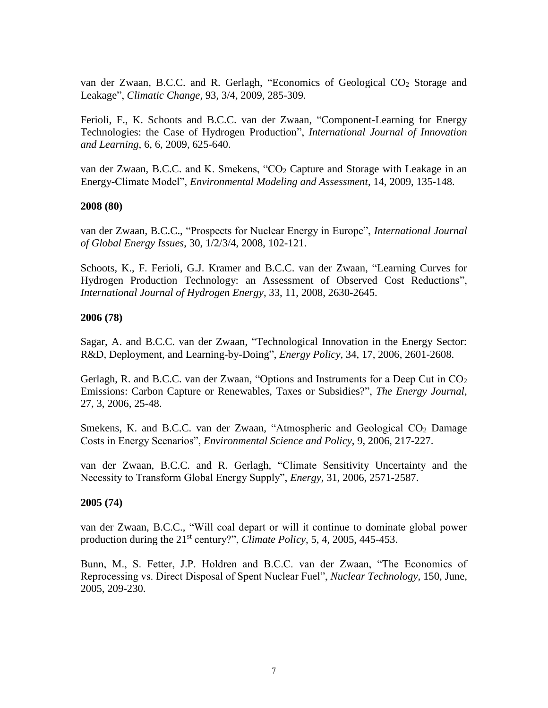van der Zwaan, B.C.C. and R. Gerlagh, "Economics of Geological CO<sup>2</sup> Storage and Leakage", *Climatic Change*, 93, 3/4, 2009, 285-309.

Ferioli, F., K. Schoots and B.C.C. van der Zwaan, "Component-Learning for Energy Technologies: the Case of Hydrogen Production", *International Journal of Innovation and Learning*, 6, 6, 2009, 625-640.

van der Zwaan, B.C.C. and K. Smekens, "CO<sub>2</sub> Capture and Storage with Leakage in an Energy-Climate Model", *Environmental Modeling and Assessment*, 14, 2009, 135-148.

### **2008 (80)**

van der Zwaan, B.C.C., "Prospects for Nuclear Energy in Europe", *International Journal of Global Energy Issues*, 30, 1/2/3/4, 2008, 102-121.

Schoots, K., F. Ferioli, G.J. Kramer and B.C.C. van der Zwaan, "Learning Curves for Hydrogen Production Technology: an Assessment of Observed Cost Reductions", *International Journal of Hydrogen Energy*, 33, 11, 2008, 2630-2645.

## **2006 (78)**

Sagar, A. and B.C.C. van der Zwaan, "Technological Innovation in the Energy Sector: R&D, Deployment, and Learning-by-Doing", *Energy Policy*, 34, 17, 2006, 2601-2608.

Gerlagh, R. and B.C.C. van der Zwaan, "Options and Instruments for a Deep Cut in  $CO<sub>2</sub>$ Emissions: Carbon Capture or Renewables, Taxes or Subsidies?", *The Energy Journal*, 27, 3, 2006, 25-48.

Smekens, K. and B.C.C. van der Zwaan, "Atmospheric and Geological  $CO<sub>2</sub>$  Damage Costs in Energy Scenarios", *Environmental Science and Policy*, 9, 2006, 217-227.

van der Zwaan, B.C.C. and R. Gerlagh, "Climate Sensitivity Uncertainty and the Necessity to Transform Global Energy Supply", *Energy*, 31, 2006, 2571-2587.

### **2005 (74)**

van der Zwaan, B.C.C., "Will coal depart or will it continue to dominate global power production during the 21<sup>st</sup> century?", *Climate Policy*, 5, 4, 2005, 445-453.

Bunn, M., S. Fetter, J.P. Holdren and B.C.C. van der Zwaan, "The Economics of Reprocessing vs. Direct Disposal of Spent Nuclear Fuel", *Nuclear Technology*, 150, June, 2005, 209-230.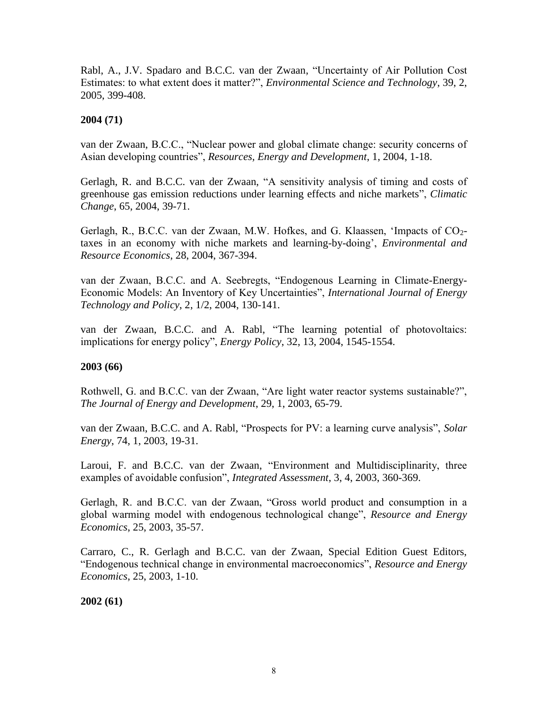Rabl, A., J.V. Spadaro and B.C.C. van der Zwaan, "Uncertainty of Air Pollution Cost Estimates: to what extent does it matter?", *Environmental Science and Technology*, 39, 2, 2005, 399-408.

## **2004 (71)**

van der Zwaan, B.C.C., "Nuclear power and global climate change: security concerns of Asian developing countries", *Resources, Energy and Development*, 1, 2004, 1-18.

Gerlagh, R. and B.C.C. van der Zwaan, "A sensitivity analysis of timing and costs of greenhouse gas emission reductions under learning effects and niche markets", *Climatic Change*, 65, 2004, 39-71.

Gerlagh, R., B.C.C. van der Zwaan, M.W. Hofkes, and G. Klaassen, 'Impacts of CO<sub>2</sub>taxes in an economy with niche markets and learning-by-doing', *Environmental and Resource Economics*, 28, 2004, 367-394.

van der Zwaan, B.C.C. and A. Seebregts, "Endogenous Learning in Climate-Energy-Economic Models: An Inventory of Key Uncertainties", *International Journal of Energy Technology and Policy*, 2, 1/2, 2004, 130-141.

van der Zwaan, B.C.C. and A. Rabl, "The learning potential of photovoltaics: implications for energy policy", *Energy Policy*, 32, 13, 2004, 1545-1554.

### **2003 (66)**

Rothwell, G. and B.C.C. van der Zwaan, "Are light water reactor systems sustainable?", *The Journal of Energy and Development*, 29, 1, 2003, 65-79.

van der Zwaan, B.C.C. and A. Rabl, "Prospects for PV: a learning curve analysis", *Solar Energy*, 74, 1, 2003, 19-31.

Laroui, F. and B.C.C. van der Zwaan, "Environment and Multidisciplinarity, three examples of avoidable confusion", *Integrated Assessment*, 3, 4, 2003, 360-369.

Gerlagh, R. and B.C.C. van der Zwaan, "Gross world product and consumption in a global warming model with endogenous technological change", *Resource and Energy Economics*, 25, 2003, 35-57.

Carraro, C., R. Gerlagh and B.C.C. van der Zwaan, Special Edition Guest Editors, "Endogenous technical change in environmental macroeconomics", *Resource and Energy Economics*, 25, 2003, 1-10.

**2002 (61)**